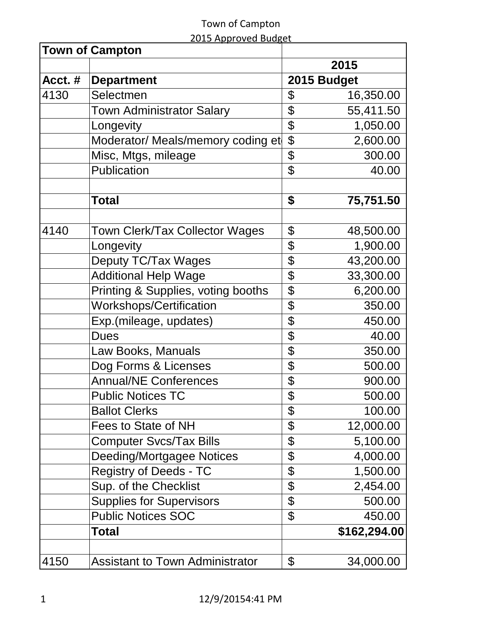|  | 2015 Approved Budget |
|--|----------------------|
|  |                      |

|        | <b>Town of Campton</b>                 |             |              |
|--------|----------------------------------------|-------------|--------------|
|        |                                        |             | 2015         |
| Acct.# | <b>Department</b>                      | 2015 Budget |              |
| 4130   | Selectmen                              | \$          | 16,350.00    |
|        | <b>Town Administrator Salary</b>       | \$          | 55,411.50    |
|        | Longevity                              | \$          | 1,050.00     |
|        | Moderator/ Meals/memory coding et      | \$          | 2,600.00     |
|        | Misc, Mtgs, mileage                    | \$          | 300.00       |
|        | Publication                            | \$          | 40.00        |
|        | <b>Total</b>                           | \$          | 75,751.50    |
|        |                                        |             |              |
| 4140   | Town Clerk/Tax Collector Wages         | \$          | 48,500.00    |
|        | Longevity                              | \$          | 1,900.00     |
|        | Deputy TC/Tax Wages                    | \$          | 43,200.00    |
|        | <b>Additional Help Wage</b>            | \$          | 33,300.00    |
|        | Printing & Supplies, voting booths     | \$          | 6,200.00     |
|        | <b>Workshops/Certification</b>         | \$          | 350.00       |
|        | Exp.(mileage, updates)                 | \$          | 450.00       |
|        | <b>Dues</b>                            | \$          | 40.00        |
|        | Law Books, Manuals                     | \$          | 350.00       |
|        | Dog Forms & Licenses                   | \$          | 500.00       |
|        | <b>Annual/NE Conferences</b>           | \$          | 900.00       |
|        | <b>Public Notices TC</b>               | \$          | 500.00       |
|        | <b>Ballot Clerks</b>                   | \$          | 100.00       |
|        | Fees to State of NH                    | \$          | 12,000.00    |
|        | <b>Computer Svcs/Tax Bills</b>         | \$          | 5,100.00     |
|        | Deeding/Mortgagee Notices              | \$          | 4,000.00     |
|        | <b>Registry of Deeds - TC</b>          | \$          | 1,500.00     |
|        | Sup. of the Checklist                  | \$          | 2,454.00     |
|        | <b>Supplies for Supervisors</b>        | \$          | 500.00       |
|        | <b>Public Notices SOC</b>              | \$          | 450.00       |
|        | <b>Total</b>                           |             | \$162,294.00 |
| 4150   | <b>Assistant to Town Administrator</b> | \$          | 34,000.00    |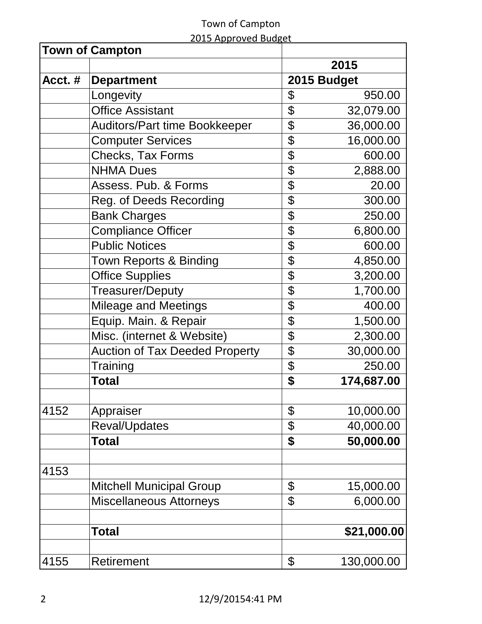|  | 2015 Approved Budget |
|--|----------------------|
|  |                      |

|        | <b>Town of Campton</b>                |                  |
|--------|---------------------------------------|------------------|
|        |                                       | 2015             |
| Acct.# | <b>Department</b>                     | 2015 Budget      |
|        | Longevity                             | \$<br>950.00     |
|        | <b>Office Assistant</b>               | \$<br>32,079.00  |
|        | <b>Auditors/Part time Bookkeeper</b>  | \$<br>36,000.00  |
|        | <b>Computer Services</b>              | \$<br>16,000.00  |
|        | <b>Checks, Tax Forms</b>              | \$<br>600.00     |
|        | <b>NHMA Dues</b>                      | \$<br>2,888.00   |
|        | Assess. Pub. & Forms                  | \$<br>20.00      |
|        | Reg. of Deeds Recording               | \$<br>300.00     |
|        | <b>Bank Charges</b>                   | \$<br>250.00     |
|        | <b>Compliance Officer</b>             | \$<br>6,800.00   |
|        | <b>Public Notices</b>                 | \$<br>600.00     |
|        | <b>Town Reports &amp; Binding</b>     | \$<br>4,850.00   |
|        | <b>Office Supplies</b>                | \$<br>3,200.00   |
|        | <b>Treasurer/Deputy</b>               | \$<br>1,700.00   |
|        | <b>Mileage and Meetings</b>           | \$<br>400.00     |
|        | Equip. Main. & Repair                 | \$<br>1,500.00   |
|        | Misc. (internet & Website)            | \$<br>2,300.00   |
|        | <b>Auction of Tax Deeded Property</b> | \$<br>30,000.00  |
|        | Training                              | \$<br>250.00     |
|        | <b>Total</b>                          | \$<br>174,687.00 |
|        |                                       |                  |
| 4152   | Appraiser                             | \$<br>10,000.00  |
|        | Reval/Updates                         | \$<br>40,000.00  |
|        | <b>Total</b>                          | \$<br>50,000.00  |
| 4153   |                                       |                  |
|        | <b>Mitchell Municipal Group</b>       | \$<br>15,000.00  |
|        | <b>Miscellaneous Attorneys</b>        | \$<br>6,000.00   |
|        |                                       |                  |
|        | <b>Total</b>                          | \$21,000.00      |
| 4155   | Retirement                            | \$<br>130,000.00 |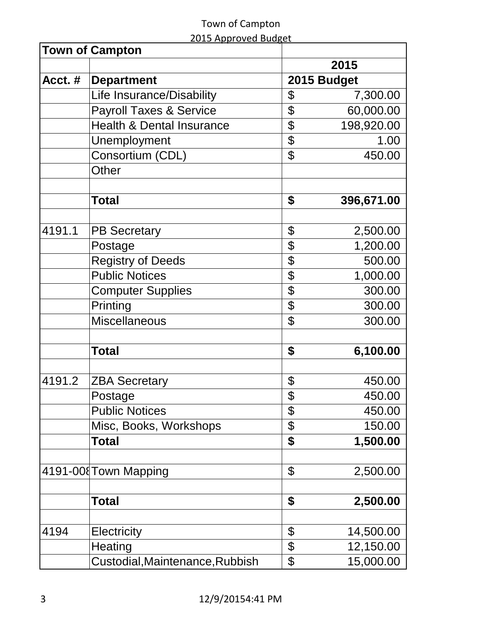|  | 2015 Approved Budget |
|--|----------------------|
|  |                      |

|        | <b>Town of Campton</b>             |                |             |
|--------|------------------------------------|----------------|-------------|
|        |                                    |                | 2015        |
| Acct.# | <b>Department</b>                  |                | 2015 Budget |
|        | Life Insurance/Disability          | \$             | 7,300.00    |
|        | <b>Payroll Taxes &amp; Service</b> | \$             | 60,000.00   |
|        | Health & Dental Insurance          | \$             | 198,920.00  |
|        | Unemployment                       | \$             | 1.00        |
|        | Consortium (CDL)                   | \$             | 450.00      |
|        | Other                              |                |             |
|        |                                    |                |             |
|        | <b>Total</b>                       | \$             | 396,671.00  |
|        |                                    |                |             |
| 4191.1 | <b>PB Secretary</b>                | \$             | 2,500.00    |
|        | Postage                            | \$             | 1,200.00    |
|        | Registry of Deeds                  | \$             | 500.00      |
|        | <b>Public Notices</b>              | \$             | 1,000.00    |
|        | <b>Computer Supplies</b>           | \$             | 300.00      |
|        | Printing                           | \$             | 300.00      |
|        | <b>Miscellaneous</b>               | \$             | 300.00      |
|        | <b>Total</b>                       | \$             | 6,100.00    |
|        |                                    |                |             |
| 4191.2 | <b>ZBA Secretary</b>               | \$             | 450.00      |
|        | Postage                            | $\mathfrak{L}$ | 450.00      |
|        | <b>Public Notices</b>              | \$             | 450.00      |
|        | Misc, Books, Workshops             | \$             | 150.00      |
|        | Total                              | \$             | 1,500.00    |
|        | 4191-00 Town Mapping               | \$             | 2,500.00    |
|        |                                    |                |             |
|        | <b>Total</b>                       | \$             | 2,500.00    |
| 4194   | Electricity                        | \$             | 14,500.00   |
|        |                                    | \$             |             |
|        | Heating                            |                | 12,150.00   |
|        | Custodial, Maintenance, Rubbish    | \$             | 15,000.00   |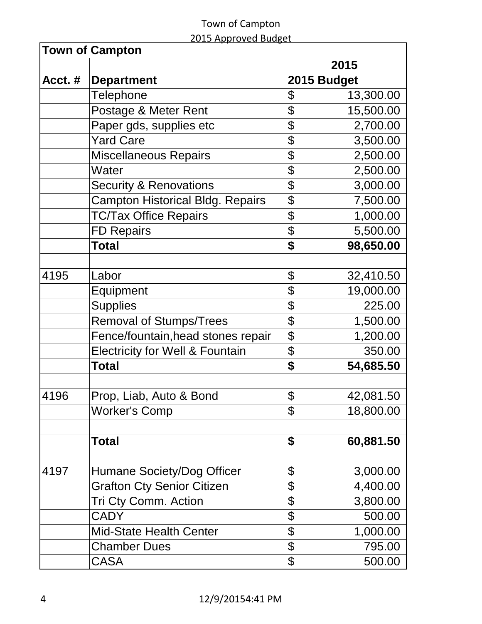|  | 2015 Approved Budget |
|--|----------------------|
|  |                      |

|        | <b>Town of Campton</b>                     |                 |
|--------|--------------------------------------------|-----------------|
|        |                                            | 2015            |
| Acct.# | <b>Department</b>                          | 2015 Budget     |
|        | <b>Telephone</b>                           | \$<br>13,300.00 |
|        | Postage & Meter Rent                       | \$<br>15,500.00 |
|        | Paper gds, supplies etc                    | \$<br>2,700.00  |
|        | <b>Yard Care</b>                           | \$<br>3,500.00  |
|        | <b>Miscellaneous Repairs</b>               | \$<br>2,500.00  |
|        | Water                                      | \$<br>2,500.00  |
|        | <b>Security &amp; Renovations</b>          | \$<br>3,000.00  |
|        | <b>Campton Historical Bldg. Repairs</b>    | \$<br>7,500.00  |
|        | <b>TC/Tax Office Repairs</b>               | \$<br>1,000.00  |
|        | <b>FD Repairs</b>                          | \$<br>5,500.00  |
|        | <b>Total</b>                               | \$<br>98,650.00 |
|        |                                            |                 |
| 4195   | Labor                                      | \$<br>32,410.50 |
|        | Equipment                                  | \$<br>19,000.00 |
|        | <b>Supplies</b>                            | \$<br>225.00    |
|        | <b>Removal of Stumps/Trees</b>             | \$<br>1,500.00  |
|        | Fence/fountain, head stones repair         | \$<br>1,200.00  |
|        | <b>Electricity for Well &amp; Fountain</b> | \$<br>350.00    |
|        | Total                                      | \$<br>54,685.50 |
|        |                                            |                 |
| 4196   | Prop, Liab, Auto & Bond                    | \$<br>42,081.50 |
|        | <b>Worker's Comp</b>                       | \$<br>18,800.00 |
|        | Total                                      | \$<br>60,881.50 |
|        |                                            |                 |
| 4197   | Humane Society/Dog Officer                 | \$<br>3,000.00  |
|        | <b>Grafton Cty Senior Citizen</b>          | \$<br>4,400.00  |
|        | <b>Tri Cty Comm. Action</b>                | \$<br>3,800.00  |
|        | <b>CADY</b>                                | \$<br>500.00    |
|        | <b>Mid-State Health Center</b>             | \$<br>1,000.00  |
|        | <b>Chamber Dues</b>                        | \$<br>795.00    |
|        | <b>CASA</b>                                | \$<br>500.00    |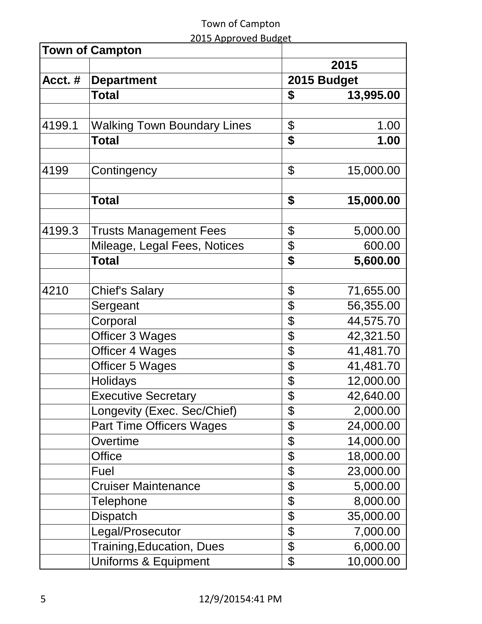|        | <b>Town of Campton</b>             |                 |
|--------|------------------------------------|-----------------|
|        |                                    | 2015            |
| Acct.# | <b>Department</b>                  | 2015 Budget     |
|        | <b>Total</b>                       | \$<br>13,995.00 |
|        |                                    |                 |
| 4199.1 | <b>Walking Town Boundary Lines</b> | \$<br>1.00      |
|        | <b>Total</b>                       | \$<br>1.00      |
|        |                                    |                 |
| 4199   | Contingency                        | \$<br>15,000.00 |
|        |                                    |                 |
|        | <b>Total</b>                       | \$<br>15,000.00 |
|        |                                    |                 |
| 4199.3 | <b>Trusts Management Fees</b>      | \$<br>5,000.00  |
|        | Mileage, Legal Fees, Notices       | \$<br>600.00    |
|        | <b>Total</b>                       | \$<br>5,600.00  |
|        |                                    |                 |
| 4210   | <b>Chief's Salary</b>              | \$<br>71,655.00 |
|        | Sergeant                           | \$<br>56,355.00 |
|        | Corporal                           | \$<br>44,575.70 |
|        | Officer 3 Wages                    | \$<br>42,321.50 |
|        | <b>Officer 4 Wages</b>             | \$<br>41,481.70 |
|        | <b>Officer 5 Wages</b>             | \$<br>41,481.70 |
|        | <b>Holidays</b>                    | \$<br>12,000.00 |
|        | <b>Executive Secretary</b>         | \$<br>42,640.00 |
|        | Longevity (Exec. Sec/Chief)        | \$<br>2,000.00  |
|        | <b>Part Time Officers Wages</b>    | \$<br>24,000.00 |
|        | Overtime                           | \$<br>14,000.00 |
|        | <b>Office</b>                      | \$<br>18,000.00 |
|        | Fuel                               | \$<br>23,000.00 |
|        | <b>Cruiser Maintenance</b>         | \$<br>5,000.00  |
|        | <b>Telephone</b>                   | \$<br>8,000.00  |
|        | <b>Dispatch</b>                    | \$<br>35,000.00 |
|        | Legal/Prosecutor                   | \$<br>7,000.00  |
|        | <b>Training, Education, Dues</b>   | \$<br>6,000.00  |
|        | Uniforms & Equipment               | \$<br>10,000.00 |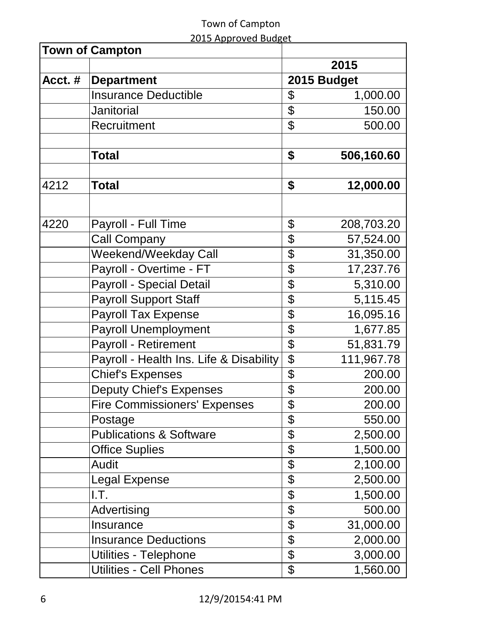|  | 2015 Approved Budget |  |
|--|----------------------|--|
|  |                      |  |

| <b>Town of Campton</b> |                                         |                  |
|------------------------|-----------------------------------------|------------------|
|                        |                                         | 2015             |
| Acct. #                | <b>Department</b>                       | 2015 Budget      |
|                        | <b>Insurance Deductible</b>             | \$<br>1,000.00   |
|                        | <b>Janitorial</b>                       | \$<br>150.00     |
|                        | Recruitment                             | \$<br>500.00     |
|                        | <b>Total</b>                            | \$<br>506,160.60 |
|                        |                                         |                  |
| 4212                   | <b>Total</b>                            | \$<br>12,000.00  |
| 4220                   | Payroll - Full Time                     | \$<br>208,703.20 |
|                        | <b>Call Company</b>                     | \$<br>57,524.00  |
|                        | Weekend/Weekday Call                    | \$<br>31,350.00  |
|                        | Payroll - Overtime - FT                 | \$<br>17,237.76  |
|                        | <b>Payroll - Special Detail</b>         | \$<br>5,310.00   |
|                        | <b>Payroll Support Staff</b>            | \$<br>5,115.45   |
|                        | <b>Payroll Tax Expense</b>              | \$<br>16,095.16  |
|                        | <b>Payroll Unemployment</b>             | \$<br>1,677.85   |
|                        | <b>Payroll - Retirement</b>             | \$<br>51,831.79  |
|                        | Payroll - Health Ins. Life & Disability | \$<br>111,967.78 |
|                        | <b>Chief's Expenses</b>                 | \$<br>200.00     |
|                        | <b>Deputy Chief's Expenses</b>          | \$<br>200.00     |
|                        | <b>Fire Commissioners' Expenses</b>     | \$<br>200.00     |
|                        | Postage                                 | \$<br>550.00     |
|                        | <b>Publications &amp; Software</b>      | \$<br>2,500.00   |
|                        | <b>Office Suplies</b>                   | \$<br>1,500.00   |
|                        | <b>Audit</b>                            | \$<br>2,100.00   |
|                        | <b>Legal Expense</b>                    | \$<br>2,500.00   |
|                        | I.T.                                    | \$<br>1,500.00   |
|                        | Advertising                             | \$<br>500.00     |
|                        | <b>Insurance</b>                        | \$<br>31,000.00  |
|                        | <b>Insurance Deductions</b>             | \$<br>2,000.00   |
|                        | Utilities - Telephone                   | \$<br>3,000.00   |
|                        | <b>Utilities - Cell Phones</b>          | \$<br>1,560.00   |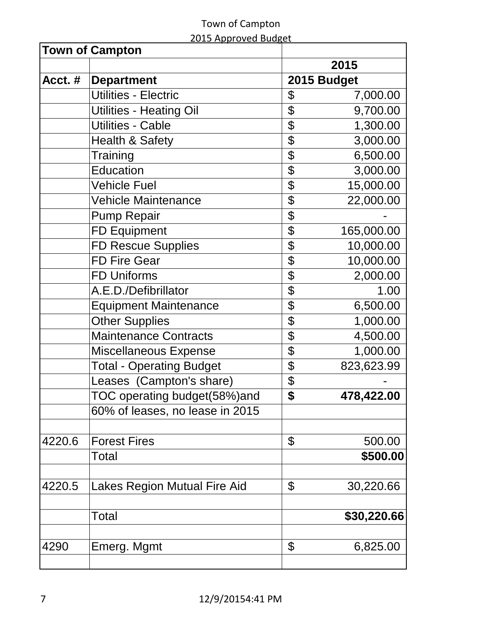#### Town of Campton 2015 Approved Budget

|        | <b>Town of Campton</b>          |                  |
|--------|---------------------------------|------------------|
|        |                                 | 2015             |
| Acct.# | <b>Department</b>               | 2015 Budget      |
|        | <b>Utilities - Electric</b>     | \$<br>7,000.00   |
|        | <b>Utilities - Heating Oil</b>  | \$<br>9,700.00   |
|        | <b>Utilities - Cable</b>        | \$<br>1,300.00   |
|        | <b>Health &amp; Safety</b>      | \$<br>3,000.00   |
|        | Training                        | \$<br>6,500.00   |
|        | <b>Education</b>                | \$<br>3,000.00   |
|        | <b>Vehicle Fuel</b>             | \$<br>15,000.00  |
|        | <b>Vehicle Maintenance</b>      | \$<br>22,000.00  |
|        | <b>Pump Repair</b>              | \$               |
|        | <b>FD Equipment</b>             | \$<br>165,000.00 |
|        | <b>FD Rescue Supplies</b>       | \$<br>10,000.00  |
|        | <b>FD Fire Gear</b>             | \$<br>10,000.00  |
|        | <b>FD Uniforms</b>              | \$<br>2,000.00   |
|        | A.E.D./Defibrillator            | \$<br>1.00       |
|        | <b>Equipment Maintenance</b>    | \$<br>6,500.00   |
|        | <b>Other Supplies</b>           | \$<br>1,000.00   |
|        | <b>Maintenance Contracts</b>    | \$<br>4,500.00   |
|        | <b>Miscellaneous Expense</b>    | \$<br>1,000.00   |
|        | <b>Total - Operating Budget</b> | \$<br>823,623.99 |
|        | Leases (Campton's share)        | \$               |
|        | TOC operating budget(58%)and    | \$<br>478,422.00 |
|        | 60% of leases, no lease in 2015 |                  |
|        |                                 |                  |
| 4220.6 | <b>Forest Fires</b>             | \$<br>500.00     |
|        | Total                           | \$500.00         |
|        |                                 |                  |
| 4220.5 | Lakes Region Mutual Fire Aid    | \$<br>30,220.66  |
|        | Total                           | \$30,220.66      |
|        |                                 |                  |
| 4290   | Emerg. Mgmt                     | \$<br>6,825.00   |
|        |                                 |                  |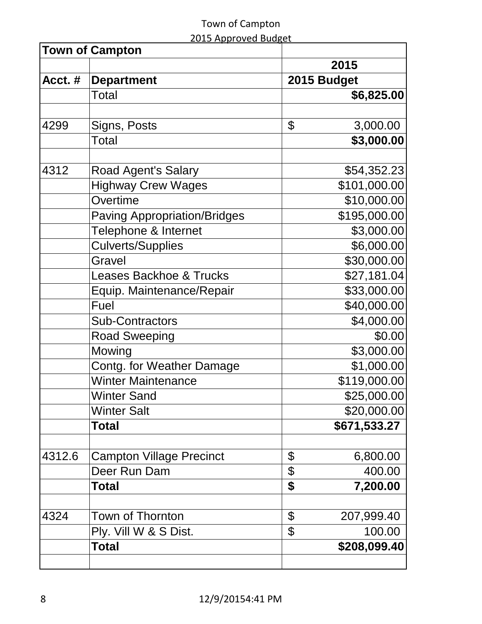|        | <b>Town of Campton</b>              |                  |
|--------|-------------------------------------|------------------|
|        |                                     | 2015             |
| Acct.# | <b>Department</b>                   | 2015 Budget      |
|        | <b>Total</b>                        | \$6,825.00       |
|        |                                     |                  |
| 4299   | Signs, Posts                        | \$<br>3,000.00   |
|        | Total                               | \$3,000.00       |
|        |                                     |                  |
| 4312   | Road Agent's Salary                 | \$54,352.23      |
|        | <b>Highway Crew Wages</b>           | \$101,000.00     |
|        | Overtime                            | \$10,000.00      |
|        | <b>Paving Appropriation/Bridges</b> | \$195,000.00     |
|        | Telephone & Internet                | \$3,000.00       |
|        | <b>Culverts/Supplies</b>            | \$6,000.00       |
|        | Gravel                              | \$30,000.00      |
|        | <b>Leases Backhoe &amp; Trucks</b>  | \$27,181.04      |
|        | Equip. Maintenance/Repair           | \$33,000.00      |
|        | Fuel                                | \$40,000.00      |
|        | <b>Sub-Contractors</b>              | \$4,000.00       |
|        | <b>Road Sweeping</b>                | \$0.00           |
|        | Mowing                              | \$3,000.00       |
|        | Contg. for Weather Damage           | \$1,000.00       |
|        | <b>Winter Maintenance</b>           | \$119,000.00     |
|        | <b>Winter Sand</b>                  | \$25,000.00      |
|        | <b>Winter Salt</b>                  | \$20,000.00      |
|        | Total                               | \$671,533.27     |
| 4312.6 | <b>Campton Village Precinct</b>     | \$<br>6,800.00   |
|        | Deer Run Dam                        | \$<br>400.00     |
|        | <b>Total</b>                        | \$<br>7,200.00   |
| 4324   | Town of Thornton                    | \$<br>207,999.40 |
|        | Ply. Vill W & S Dist.               | \$<br>100.00     |
|        | <b>Total</b>                        | \$208,099.40     |
|        |                                     |                  |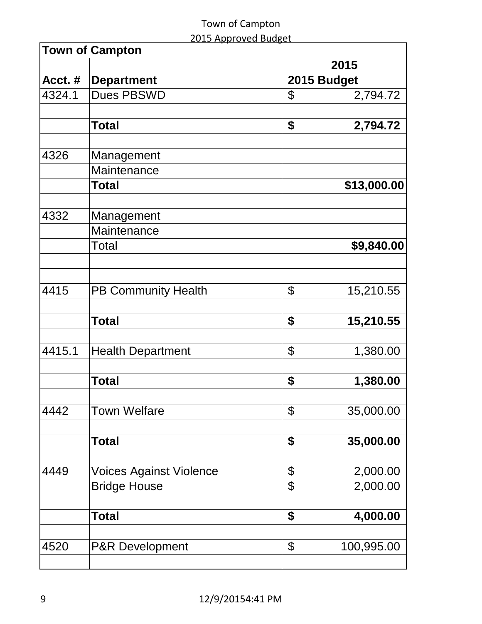|        | <b>Town of Campton</b>         |             |             |  |
|--------|--------------------------------|-------------|-------------|--|
|        |                                |             | 2015        |  |
| Acct.# | <b>Department</b>              | 2015 Budget |             |  |
| 4324.1 | <b>Dues PBSWD</b>              | \$          | 2,794.72    |  |
|        |                                |             |             |  |
|        | <b>Total</b>                   | \$          | 2,794.72    |  |
|        |                                |             |             |  |
| 4326   | Management                     |             |             |  |
|        | Maintenance                    |             |             |  |
|        | <b>Total</b>                   |             | \$13,000.00 |  |
|        |                                |             |             |  |
| 4332   | Management                     |             |             |  |
|        | Maintenance                    |             |             |  |
|        | Total                          |             | \$9,840.00  |  |
|        |                                |             |             |  |
|        |                                |             |             |  |
| 4415   | <b>PB Community Health</b>     | \$          | 15,210.55   |  |
|        |                                |             |             |  |
|        | <b>Total</b>                   | \$          | 15,210.55   |  |
|        |                                |             |             |  |
| 4415.1 | <b>Health Department</b>       | \$          | 1,380.00    |  |
|        |                                |             |             |  |
|        | <b>Total</b>                   | \$          | 1,380.00    |  |
|        |                                |             |             |  |
| 4442   | <b>Town Welfare</b>            | \$          | 35,000.00   |  |
|        |                                |             |             |  |
|        | <b>Total</b>                   | \$          | 35,000.00   |  |
|        |                                |             |             |  |
| 4449   | <b>Voices Against Violence</b> | \$          | 2,000.00    |  |
|        | <b>Bridge House</b>            | \$          | 2,000.00    |  |
|        |                                |             |             |  |
|        | <b>Total</b>                   | \$          | 4,000.00    |  |
|        |                                |             |             |  |
| 4520   | <b>P&amp;R Development</b>     | \$          | 100,995.00  |  |
|        |                                |             |             |  |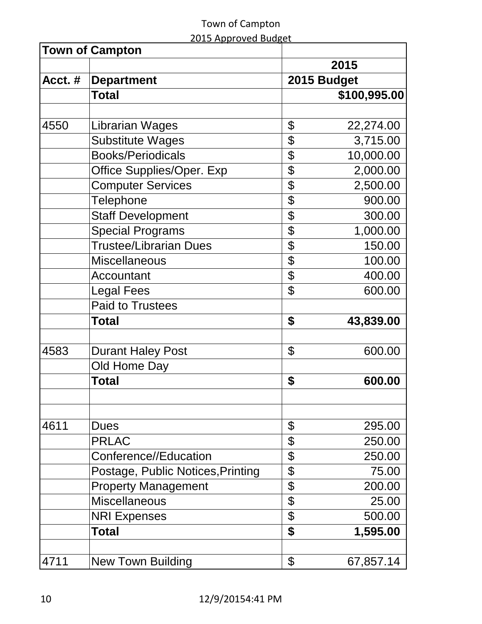|        | <b>Town of Campton</b>                             |          |                 |  |
|--------|----------------------------------------------------|----------|-----------------|--|
|        |                                                    |          | 2015            |  |
| Acct.# | <b>Department</b>                                  |          | 2015 Budget     |  |
|        | <b>Total</b>                                       |          | \$100,995.00    |  |
|        |                                                    |          |                 |  |
| 4550   | Librarian Wages                                    | \$       | 22,274.00       |  |
|        | <b>Substitute Wages</b>                            | \$       | 3,715.00        |  |
|        | <b>Books/Periodicals</b>                           | \$       | 10,000.00       |  |
|        | Office Supplies/Oper. Exp                          | \$       | 2,000.00        |  |
|        | <b>Computer Services</b>                           | \$       | 2,500.00        |  |
|        | <b>Telephone</b>                                   | \$       | 900.00          |  |
|        | <b>Staff Development</b>                           | \$       | 300.00          |  |
|        | <b>Special Programs</b>                            | \$       | 1,000.00        |  |
|        | <b>Trustee/Librarian Dues</b>                      | \$       | 150.00          |  |
|        | <b>Miscellaneous</b>                               | \$       | 100.00          |  |
|        | Accountant                                         | \$       | 400.00          |  |
|        | <b>Legal Fees</b>                                  | \$       | 600.00          |  |
|        | <b>Paid to Trustees</b>                            |          |                 |  |
|        | Total                                              | \$       | 43,839.00       |  |
| 4583   | <b>Durant Haley Post</b>                           | \$       | 600.00          |  |
|        | Old Home Day                                       |          |                 |  |
|        | <b>Total</b>                                       | \$       | 600.00          |  |
|        |                                                    |          |                 |  |
| 4611   | <b>Dues</b>                                        | \$       | 295.00          |  |
|        | <b>PRLAC</b>                                       |          |                 |  |
|        | Conference//Education                              | \$       | 250.00          |  |
|        |                                                    | \$       | 250.00<br>75.00 |  |
|        | Postage, Public Notices, Printing                  | \$<br>\$ | 200.00          |  |
|        | <b>Property Management</b><br><b>Miscellaneous</b> |          |                 |  |
|        |                                                    | \$       | 25.00           |  |
|        | <b>NRI Expenses</b>                                | \$       | 500.00          |  |
|        | Total                                              | \$       | 1,595.00        |  |
| 4711   | <b>New Town Building</b>                           | \$       | 67,857.14       |  |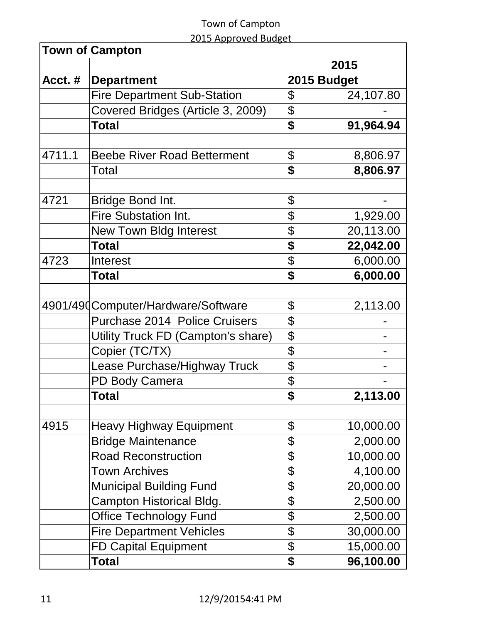|         | <b>Town of Campton</b>               |                 |
|---------|--------------------------------------|-----------------|
|         |                                      | 2015            |
| Acct. # | <b>Department</b>                    | 2015 Budget     |
|         | <b>Fire Department Sub-Station</b>   | \$<br>24,107.80 |
|         | Covered Bridges (Article 3, 2009)    | \$              |
|         | <b>Total</b>                         | \$<br>91,964.94 |
|         |                                      |                 |
| 4711.1  | <b>Beebe River Road Betterment</b>   | \$<br>8,806.97  |
|         | Total                                | \$<br>8,806.97  |
|         |                                      |                 |
| 4721    | Bridge Bond Int.                     | \$              |
|         | Fire Substation Int.                 | \$<br>1,929.00  |
|         | <b>New Town Bldg Interest</b>        | \$<br>20,113.00 |
|         | <b>Total</b>                         | \$<br>22,042.00 |
| 4723    | Interest                             | \$<br>6,000.00  |
|         | <b>Total</b>                         | \$<br>6,000.00  |
|         |                                      |                 |
|         | 4901/490 Computer/Hardware/Software  | \$<br>2,113.00  |
|         | <b>Purchase 2014 Police Cruisers</b> | \$              |
|         | Utility Truck FD (Campton's share)   | \$              |
|         | Copier (TC/TX)                       | \$              |
|         | Lease Purchase/Highway Truck         | \$              |
|         | <b>PD Body Camera</b>                | \$              |
|         | <b>Total</b>                         | \$<br>2,113.00  |
| 4915    | <b>Heavy Highway Equipment</b>       | \$<br>10,000.00 |
|         | <b>Bridge Maintenance</b>            | \$<br>2,000.00  |
|         | <b>Road Reconstruction</b>           | \$<br>10,000.00 |
|         | <b>Town Archives</b>                 | \$<br>4,100.00  |
|         | <b>Municipal Building Fund</b>       | \$<br>20,000.00 |
|         | Campton Historical Bldg.             | \$<br>2,500.00  |
|         | <b>Office Technology Fund</b>        | \$<br>2,500.00  |
|         | <b>Fire Department Vehicles</b>      | \$<br>30,000.00 |
|         | <b>FD Capital Equipment</b>          | \$<br>15,000.00 |
|         | Total                                | \$<br>96,100.00 |